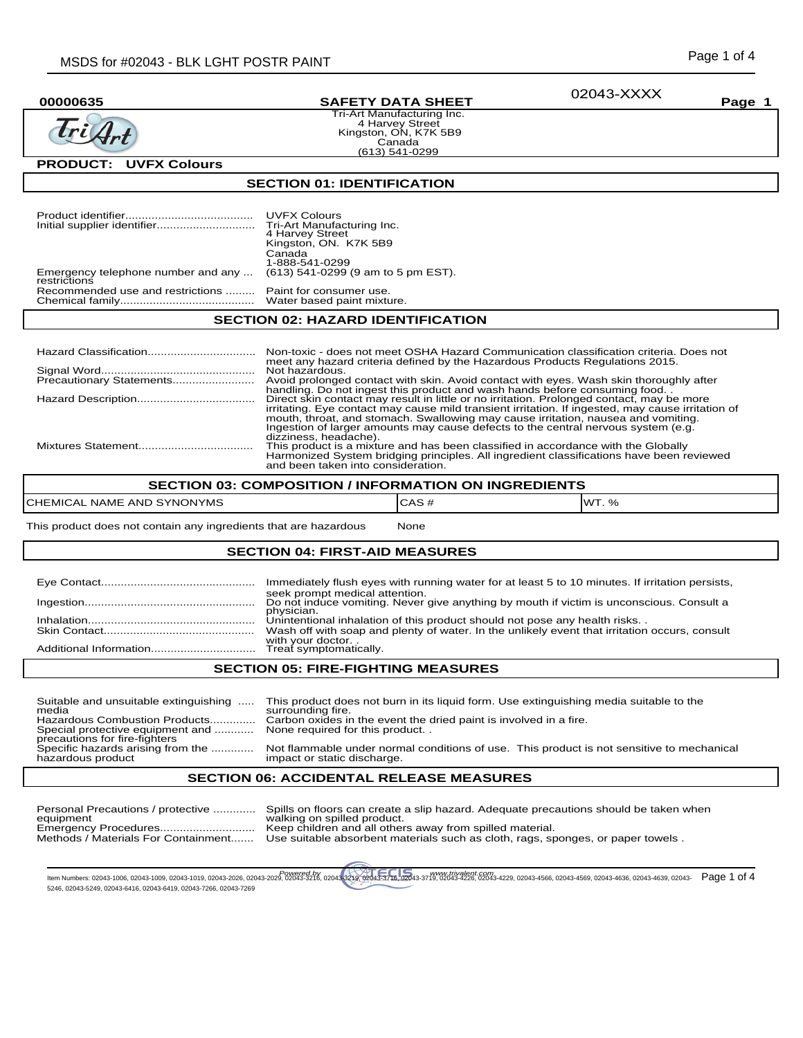02043-XXXX

Tri Art

# **00000635 SAFETY DATA SHEET Page 1**

Tri-Art Manufacturing Inc. 4 Harvey Street Kingston, ON, K7K 5B9 Canada (613) 541-0299

# **PRODUCT: UVFX Colours**

#### **SECTION 01: IDENTIFICATION**

|                                                    | <b>UVFX Colours</b><br>4 Harvey Street<br>Kingston, ON. K7K 5B9<br>Canada                                                                                                                                                                                                                                                                                                |  |  |
|----------------------------------------------------|--------------------------------------------------------------------------------------------------------------------------------------------------------------------------------------------------------------------------------------------------------------------------------------------------------------------------------------------------------------------------|--|--|
|                                                    | 1-888-541-0299                                                                                                                                                                                                                                                                                                                                                           |  |  |
| Emergency telephone number and any<br>restrictions | (613) 541-0299 (9 am to 5 pm EST).                                                                                                                                                                                                                                                                                                                                       |  |  |
| Recommended use and restrictions                   | Paint for consumer use.                                                                                                                                                                                                                                                                                                                                                  |  |  |
| <b>SECTION 02: HAZARD IDENTIFICATION</b>           |                                                                                                                                                                                                                                                                                                                                                                          |  |  |
|                                                    |                                                                                                                                                                                                                                                                                                                                                                          |  |  |
|                                                    | Non-toxic - does not meet OSHA Hazard Communication classification criteria. Does not<br>meet any hazard criteria defined by the Hazardous Products Regulations 2015.                                                                                                                                                                                                    |  |  |
|                                                    | Not hazardous.                                                                                                                                                                                                                                                                                                                                                           |  |  |
| Precautionary Statements                           | Avoid prolonged contact with skin. Avoid contact with eyes. Wash skin thoroughly after<br>handling. Do not ingest this product and wash hands before consuming food.                                                                                                                                                                                                     |  |  |
|                                                    | Direct skin contact may result in little or no irritation. Prolonged contact, may be more<br>irritating. Eye contact may cause mild transient irritation. If ingested, may cause irritation of<br>mouth, throat, and stomach. Swallowing may cause irritation, nausea and vomiting.<br>Ingestion of larger amounts may cause defects to the central nervous system (e.g. |  |  |
|                                                    | dizziness, headache).                                                                                                                                                                                                                                                                                                                                                    |  |  |

and been taken into consideration.

#### **SECTION 03: COMPOSITION / INFORMATION ON INGREDIENTS**

|                                                          | È<br>- 77               |                      |
|----------------------------------------------------------|-------------------------|----------------------|
| <b>CHEMIC</b><br>SYNONYMS<br>AND<br><b>NAME</b><br>- AL، | $\mathbf{r}$<br>سم کی د | 1M <sup>T</sup><br>% |

This product does not contain any ingredients that are hazardous Mone

#### **SECTION 04: FIRST-AID MEASURES**

| AFATIAN AF. FIBE FIAUTINA NEI AUBEA |                                                                                                                                   |  |
|-------------------------------------|-----------------------------------------------------------------------------------------------------------------------------------|--|
|                                     |                                                                                                                                   |  |
|                                     | with your doctor.                                                                                                                 |  |
|                                     | Wash off with soap and plenty of water. In the unlikely event that irritation occurs, consult                                     |  |
|                                     | Unintentional inhalation of this product should not pose any health risks.                                                        |  |
|                                     | Do not induce vomiting. Never give anything by mouth if victim is unconscious. Consult a<br>physician.                            |  |
|                                     | Immediately flush eyes with running water for at least 5 to 10 minutes. If irritation persists,<br>seek prompt medical attention. |  |
|                                     |                                                                                                                                   |  |

#### **SECTION 05: FIRE-FIGHTING MEASURES**

| Suitable and unsuitable extinguishing<br>media<br>Hazardous Combustion Products<br>Special protective equipment and<br>precautions for fire-fighters | This product does not burn in its liquid form. Use extinguishing media suitable to the<br>surrounding fire.<br>Carbon oxides in the event the dried paint is involved in a fire.<br>None required for this product |
|------------------------------------------------------------------------------------------------------------------------------------------------------|--------------------------------------------------------------------------------------------------------------------------------------------------------------------------------------------------------------------|
| Specific hazards arising from the                                                                                                                    | Not flammable under normal conditions of use. This product is not sensitive to mechanical                                                                                                                          |
| hazardous product                                                                                                                                    | impact or static discharge.                                                                                                                                                                                        |

## **SECTION 06: ACCIDENTAL RELEASE MEASURES**

| Personal Precautions / protective   | Spills on floors can create a slip hazard. Adequate precautions should be taken when |
|-------------------------------------|--------------------------------------------------------------------------------------|
| equipment                           | walking on spilled product.                                                          |
|                                     | Keep children and all others away from spilled material.                             |
| Methods / Materials For Containment | Use suitable absorbent materials such as cloth, rags, sponges, or paper towels.      |

tlem Numbers: 02043-1006, 02043-1009, 02043-1019, 02043-2026, 02043-2026, 02043-3216, 02043-3219, 02043-3219, 02043-3-3718, 02043-3-319, 02043-4266, 02043-429, 02043-4566, 02043-4568, 02043-4636, 02043-4638, 02043-4638, 02 5246, 02043-5249, 02043-6416, 02043-6419, 02043-7266, 02043-7269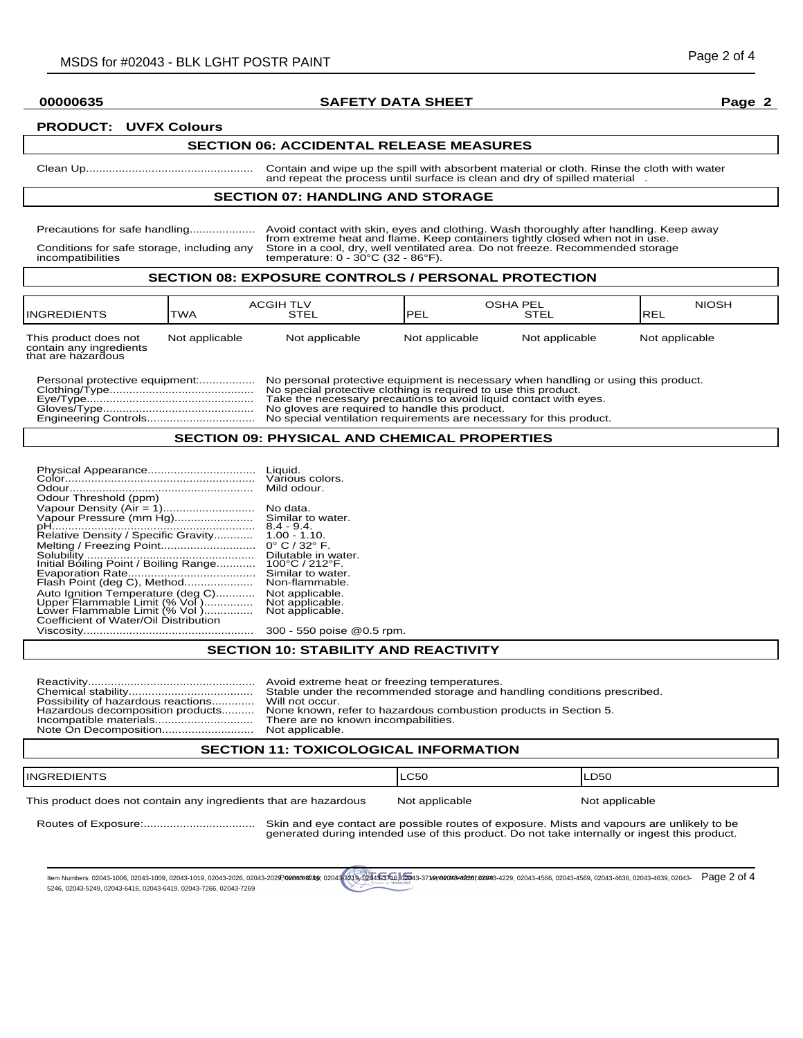### **00000635 SAFETY DATA SHEET Page 2**

#### **PRODUCT: UVFX Colours**

#### **SECTION 06: ACCIDENTAL RELEASE MEASURES**

Clean Up................................................... Contain and wipe up the spill with absorbent material or cloth. Rinse the cloth with water and repeat the process until surface is clean and dry of spilled material

#### **SECTION 07: HANDLING AND STORAGE**

Precautions for safe handling.................... Avoid contact with skin, eyes and clothing. Wash thoroughly after handling. Keep away from extreme heat and flame. Keep containers tightly closed when not in use. Conditions for safe storage, including any Store in a cool, dry, well ventilated area. Do not freeze. Recommended storage incompatibilities temperature: 0 - 30°C (32 - 86°F).

## **SECTION 08: EXPOSURE CONTROLS / PERSONAL PROTECTION**

| <b>INGREDIENTS</b>                                                     | <b>ACGIH TLV</b><br><b>TWA</b> | STEL           | OSHA PEL<br><b>IPEL</b> | <b>STEL</b>    | <b>NIOSH</b><br><b>IREL</b> |
|------------------------------------------------------------------------|--------------------------------|----------------|-------------------------|----------------|-----------------------------|
| This product does not<br>contain any ingredients<br>that are hazardous | Not applicable                 | Not applicable | Not applicable          | Not applicable | Not applicable              |

No personal protective equipment is necessary when handling or using this product. No special protective clothing is required to use this product. Eye/Type................................................... Take the necessary precautions to avoid liquid contact with eyes. Gloves/Type.............................................. No gloves are required to handle this product. No special ventilation requirements are necessary for this product.

## **SECTION 09: PHYSICAL AND CHEMICAL PROPERTIES**

| Physical Appearance                   | Liquid.<br>Various colors.       |
|---------------------------------------|----------------------------------|
|                                       | Mild odour.                      |
| Odour Threshold (ppm)                 |                                  |
| Vapour Density (Air = 1)              | No data.                         |
| Vapour Pressure (mm Hg)               | Similar to water.                |
|                                       | $8.4 - 9.4$                      |
| Relative Density / Specific Gravity   | $1.00 - 1.10$ .                  |
| Melting / Freezing Point              | $0^{\circ}$ C / 32 $^{\circ}$ F. |
|                                       | Dilutable in water.              |
| Initial Boiling Point / Boiling Range | 100°C / 212°F.                   |
|                                       | Similar to water.                |
| Flash Point (deg C), Method           | Non-flammable.                   |
| Auto Ignition Temperature (deg C)     | Not applicable.                  |
| Upper Elammable Limit (% Vol)         | Not applicable.                  |
| Lower Flammable Limit (% Vol)         | Not applicable.                  |
| Coefficient of Water/Oil Distribution |                                  |
| Viscosity                             | 300 - 550 poise @                |

## **SECTION 10: STABILITY AND REACTIVITY**

poise @0.5 rpm.

| Possibility of hazardous reactions Will not occur.<br>Hazardous decomposition products | Avoid extreme heat or freezing temperatures.<br>Stable under the recommended storage and handling conditions prescribed.<br>None known, refer to hazardous combustion products in Section 5.<br>There are no known incompabilities.<br>Not applicable. |
|----------------------------------------------------------------------------------------|--------------------------------------------------------------------------------------------------------------------------------------------------------------------------------------------------------------------------------------------------------|
|----------------------------------------------------------------------------------------|--------------------------------------------------------------------------------------------------------------------------------------------------------------------------------------------------------------------------------------------------------|

## **SECTION 11: TOXICOLOGICAL INFORMATION**

| <b>INGREDIENTS</b>                                               |                                                                                                                                                                                             | <b>LC50</b>    | ILD50          |
|------------------------------------------------------------------|---------------------------------------------------------------------------------------------------------------------------------------------------------------------------------------------|----------------|----------------|
| This product does not contain any ingredients that are hazardous |                                                                                                                                                                                             | Not applicable | Not applicable |
|                                                                  | Skin and eye contact are possible routes of exposure. Mists and vapours are unlikely to be<br>generated during intended use of this product. Do not take internally or ingest this product. |                |                |

ltem Numbers: 02043-1006, 02043-1019, 02043-1019, 02043-2026, 02043-2029 020439200498210, 02044-3219, 02043-3716, 02043-3719/02043-4386/4228192043-429, 02043-4566, 02043-4566, 02043-4586, 02043-4638, 02043-4639, 02043-4639 5246, 02043-5249, 02043-6416, 02043-6419, 02043-7266, 02043-7269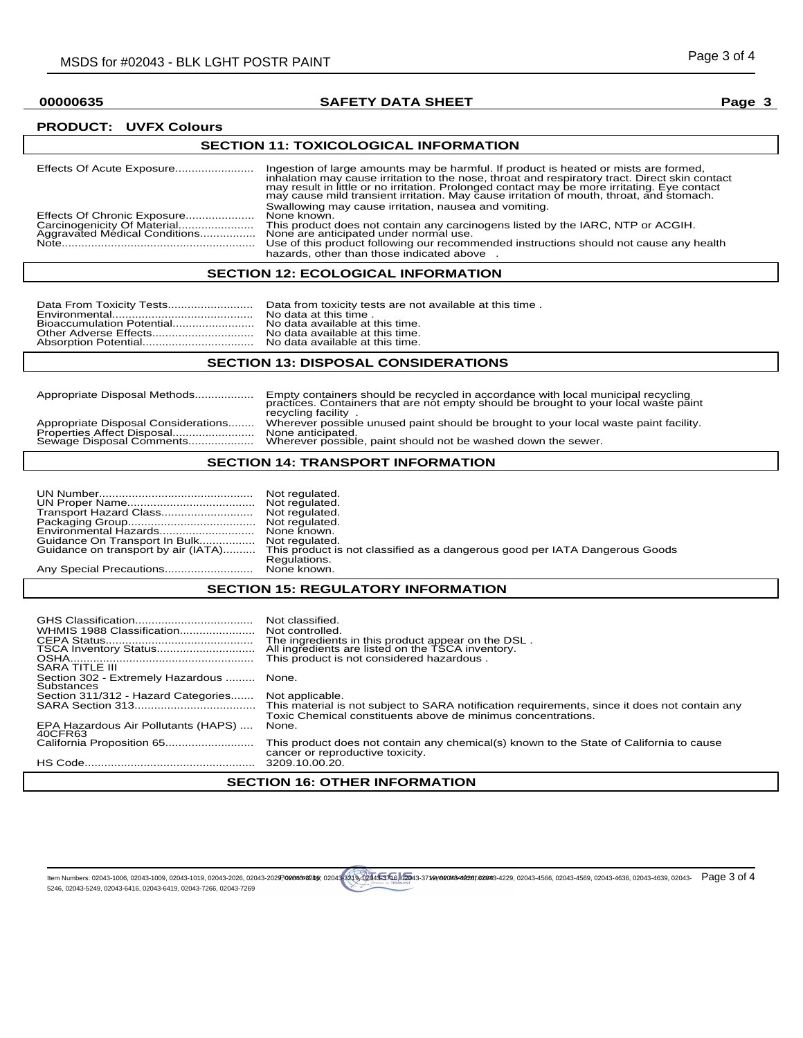## **00000635 SAFETY DATA SHEET Page 3**

## **PRODUCT: UVFX Colours**

# **SECTION 11: TOXICOLOGICAL INFORMATION**

|                                                              | Ingestion of large amounts may be harmful. If product is heated or mists are formed,<br>inhalation may cause irritation to the nose, throat and respiratory tract. Direct skin contact<br>may result in little or no irritation. Prolonged contact may be more irritating. Eye contact<br>may cause mild transient irritation. May cause irritation of mouth, throat, and stomach. |
|--------------------------------------------------------------|------------------------------------------------------------------------------------------------------------------------------------------------------------------------------------------------------------------------------------------------------------------------------------------------------------------------------------------------------------------------------------|
| Effects Of Chronic Exposure<br>Aggravated Médical Conditions | Swallowing may cause irritation, nausea and vomiting.<br>None known.<br>This product does not contain any carcinogens listed by the IARC, NTP or ACGIH.<br>None are anticipated under normal use.                                                                                                                                                                                  |
|                                                              | Use of this product following our recommended instructions should not cause any health<br>hazards, other than those indicated above                                                                                                                                                                                                                                                |

# **SECTION 12: ECOLOGICAL INFORMATION**

|--|--|

## **SECTION 13: DISPOSAL CONSIDERATIONS**

| Appropriate Disposal Methods        | Empty containers should be recycled in accordance with local municipal recycling<br>practices. Containers that are not empty should be brought to your local waste paint<br>recycling facility |
|-------------------------------------|------------------------------------------------------------------------------------------------------------------------------------------------------------------------------------------------|
| Appropriate Disposal Considerations | Wherever possible unused paint should be brought to your local waste paint facility.                                                                                                           |
| Properties Affect Disposal          | None anticipated.                                                                                                                                                                              |
| Sewage Disposal Comments            | Wherever possible, paint should not be washed down the sewer.                                                                                                                                  |

## **SECTION 14: TRANSPORT INFORMATION**

| Environmental Hazards None known.   |                                                                             |
|-------------------------------------|-----------------------------------------------------------------------------|
|                                     |                                                                             |
| Guidance on transport by air (IATA) | This product is not classified as a dangerous good per IATA Dangerous Goods |
|                                     | Regulations.                                                                |
|                                     |                                                                             |

# **SECTION 15: REGULATORY INFORMATION**

| WHMIS 1988 Classification<br>TSCA Inventory Status<br><b>SARA TITLE III</b> | Not classified.<br>Not controlled.<br>The ingredients in this product appear on the DSL.<br>All ingredients are listed on the TSCA inventory.<br>This product is not considered hazardous. |  |
|-----------------------------------------------------------------------------|--------------------------------------------------------------------------------------------------------------------------------------------------------------------------------------------|--|
| Section 302 - Extremely Hazardous  None.<br>Substances                      |                                                                                                                                                                                            |  |
| Section 311/312 - Hazard Categories                                         | Not applicable.<br>This material is not subject to SARA notification requirements, since it does not contain any<br>Toxic Chemical constituents above de minimus concentrations.           |  |
| EPA Hazardous Air Pollutants (HAPS)<br>40CFR63                              | None.                                                                                                                                                                                      |  |
|                                                                             | This product does not contain any chemical(s) known to the State of California to cause<br>cancer or reproductive toxicity.                                                                |  |
|                                                                             |                                                                                                                                                                                            |  |
| <b>SECTION 16: OTHER INFORMATION</b>                                        |                                                                                                                                                                                            |  |

#### ltem Numbers: 02043-1006, 02043-1019, 02043-1019, 02043-2026, 02043-2029 020439200498210, 02044-3219, 02043-3716, 02043-3719/02043-4386/4228192043-429, 02043-4566, 02043-4566, 02043-4586, 02043-4638, 02043-4639, 02043-4639 5246, 02043-5249, 02043-6416, 02043-6419, 02043-7266, 02043-7269